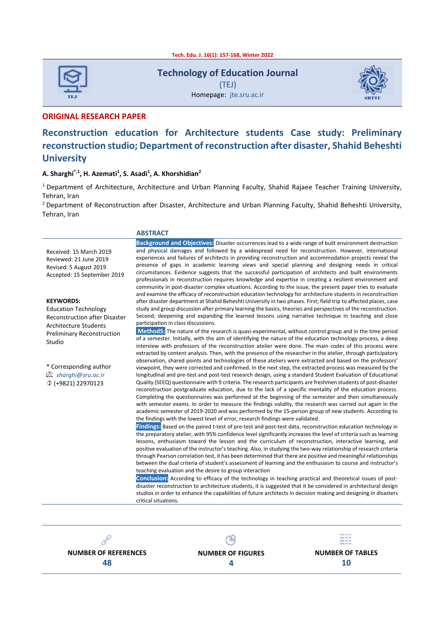**Tech. Edu. J. 16(1): 157-168, Winter 2022**



**Technology of Education Journal** (TEJ)

Homepage: jte.sru.ac.ir



**ORIGINAL RESEARCH PAPER** 

# **Reconstruction education for Architecture students Case study: Preliminary reconstruction studio; Department of reconstruction after disaster, Shahid Beheshti University**

#### **A. Sharghi\*,1 , H. Azemati<sup>1</sup> , S. Asadi<sup>1</sup> , A. Khorshidian<sup>2</sup>**

<sup>1</sup> Department of Architecture, Architecture and Urban Planning Faculty, Shahid Rajaee Teacher Training University, Tehran, Iran

<sup>2</sup> Department of Reconstruction after Disaster, Architecture and Urban Planning Faculty, Shahid Beheshti University, Tehran, Iran

|                                                                                                            | <b>ABSTRACT</b>                                                                                                                                                                                                                                                                                                                                                                                                                                                                                                                                                                                                                                                                                                                                                                                                                                                                                                                                                                     |
|------------------------------------------------------------------------------------------------------------|-------------------------------------------------------------------------------------------------------------------------------------------------------------------------------------------------------------------------------------------------------------------------------------------------------------------------------------------------------------------------------------------------------------------------------------------------------------------------------------------------------------------------------------------------------------------------------------------------------------------------------------------------------------------------------------------------------------------------------------------------------------------------------------------------------------------------------------------------------------------------------------------------------------------------------------------------------------------------------------|
| Received: 15 March 2019<br>Reviewed: 21 June 2019<br>Revised: 5 August 2019<br>Accepted: 15 September 2019 | Background and Objectives: Disaster occurrences lead to a wide range of built environment destruction<br>and physical damages and followed by a widespread need for reconstruction. However, international<br>experiences and failures of architects in providing reconstruction and accommodation projects reveal the<br>presence of gaps in academic learning views and special planning and designing needs in critical<br>circumstances. Evidence suggests that the successful participation of architects and built environments<br>professionals in reconstruction requires knowledge and expertise in creating a resilient environment and<br>community in post-disaster complex situations. According to the issue, the present paper tries to evaluate<br>and examine the efficacy of reconstruction education technology for architecture students in reconstruction                                                                                                      |
| <b>KEYWORDS:</b>                                                                                           | after disaster department at Shahid Beheshti University in two phases. First; field trip to affected places, case                                                                                                                                                                                                                                                                                                                                                                                                                                                                                                                                                                                                                                                                                                                                                                                                                                                                   |
| <b>Education Technology</b><br><b>Reconstruction after Disaster</b><br><b>Architecture Students</b>        | study and group discussion after primary learning the basics, theories and perspectives of the reconstruction.<br>Second; deepening and expanding the learned lessons using narrative technique in teaching and close<br>participation in class discussions.                                                                                                                                                                                                                                                                                                                                                                                                                                                                                                                                                                                                                                                                                                                        |
| <b>Preliminary Reconstruction</b><br>Studio                                                                | MethodS: The nature of the research is quasi-experimental, without control group and in the time period<br>of a semester. Initially, with the aim of identifying the nature of the education technology process, a deep<br>interview with professors of the reconstruction atelier were done. The main codes of this process were<br>extracted by content analysis. Then, with the presence of the researcher in the atelier, through participatory                                                                                                                                                                                                                                                                                                                                                                                                                                                                                                                                 |
| * Corresponding author<br>La sharghi@sru.ac.ir<br>$D$ (+9821) 22970123                                     | observation, shared points and technologies of these ateliers were extracted and based on the professors'<br>viewpoint, they were corrected and confirmed. In the next step, the extracted process was measured by the<br>longitudinal and pre-test and post-test research design, using a standard Student Evaluation of Educational<br>Quality (SEEQ) questionnaire with 9 criteria. The research participants are freshmen students of post-disaster<br>reconstruction postgraduate education, due to the lack of a specific mentality of the education process.<br>Completing the questionnaires was performed at the beginning of the semester and then simultaneously<br>with semester exams. In order to measure the findings validity, the research was carried out again in the<br>academic semester of 2019-2020 and was performed by the 15-person group of new students. According to<br>the findings with the lowest level of error, research findings were validated. |
|                                                                                                            | Findings: Based on the paired t-test of pre-test and post-test data, reconstruction education technology in<br>the preparatory atelier, with 95% confidence level significantly increases the level of criteria such as learning<br>lessons, enthusiasm toward the lesson and the curriculum of reconstruction, interactive learning, and<br>positive evaluation of the instructor's teaching. Also, in studying the two-way relationship of research criteria<br>through Pearson correlation test, it has been determined that there are positive and meaningful relationships<br>between the dual criteria of student's assessment of learning and the enthusiasm to course and instructor's<br>teaching evaluation and the desire to group interaction                                                                                                                                                                                                                           |
|                                                                                                            | Conclusion: According to efficacy of the technology in teaching practical and theoretical issues of post-<br>disaster reconstruction to architecture students, it is suggested that it be considered in architectural design<br>studios in order to enhance the capabilities of future architects in decision making and designing in disasters<br>critical situations.                                                                                                                                                                                                                                                                                                                                                                                                                                                                                                                                                                                                             |

 $\mathcal{O}^{\mathcal{O}}$ **NUMBER OF REFERENCES 48**

ഭ **NUMBER OF FIGURES 4**

**NUMBER OF TABLES 10**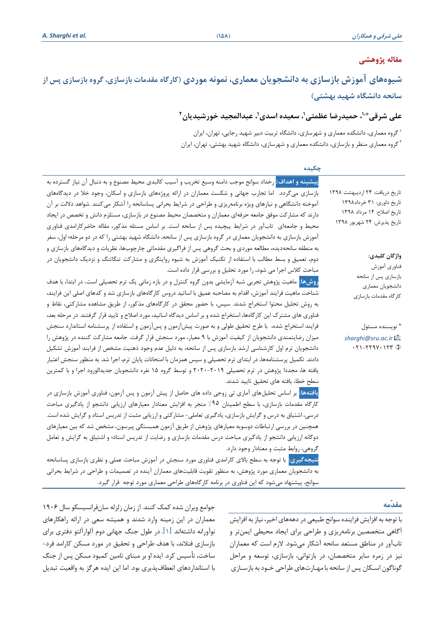# **مقاله پژوهشی**

# **شیوه های آموزش بازسازی به دانشجویان معماری، نمونه موردی )کارگاه مقدمات بازسازی، گروه بازسازی پس از سانحه دانشگاه شهید بهشتی(**

# **، عبدالمجید خورشیدیان \*،1، حمیدرضا عظمتی،<sup>1</sup> سعیده اسدی<sup>1</sup> علی شرقی 2**

گروه معماری، دانشکده معماری و شهرسازی، دانشگاه تربیت دبیر شهید رجایی، تهران، ایران <sup>1</sup> <sup>۲</sup>گروه معماری منظر و بازسازی، دانشکده معماری و شهرسازی، دانشگاه شهید بهشتی، تهران، ایران

| چکیده                                                                                                                 |                                                             |
|-----------------------------------------------------------------------------------------------------------------------|-------------------------------------------------------------|
| <mark>پیشینه و اهداف:</mark> رخداد سوانح موجب دامنه وسیع تخریب و آسیب کالبدی محیط مصنوع و به دنبال آن نیاز گسترده به  |                                                             |
| بازسازی میگردد. اما تجارب جهانی و شکست معماران در ارائه پروژههای بازسازی و اسکان، وجود خلا در دیدگاههای               | تاریخ دریافت: ۲۴ اردیبهشت ۱۳۹۸                              |
| آموخته دانشگاهی و نیازهای ویژه برنامهریزی و طراحی در شرایط بحرانی پساسانحه را آشکار میکنند. شواهد دلالت بر آن         | تاریخ داوری: ۳۱ خرداد۱۳۹۸                                   |
| دارند که مشارکت موفق جامعه حرفهای معماران و متخصصان محیط مصنوع در بازسازی، مستلزم دانش و تخصص در ایجاد                | تاريخ اصلاح: ١۴ مرداد ١٣٩٨                                  |
| محیط و جامعهای ِ تاب آور در شرایط پیچیده پس از سانحه است. بر اساس مسئله مذکور، مقاله حاضرکارامدی فناوری               | تاریخ پذیرش: ۲۴ شهریور ۱۳۹۸                                 |
| آموزش بازسازی به دانشجویان معماری در گروه بازسازی پس از سانحه، دانشگاه شهید بهشتی را که در دو مرحله؛ اول، سفر         |                                                             |
| به منطقه سانحهدیده، مطالعه موردی و بحث گروهی پس از فراگیری مقدماتی چارچوبها، نظریات و دیدگاههای بازسازی و             |                                                             |
| دوم، تعمیق و بسط مطالب با استفاده از تکنیک آموزش به شیوه روایتگری و مشارکت تنگاتنگ و نزدیک دانشجویان در               | واژگان كليدي:                                               |
| مباحث کلاس اجرا می شود، را مورد تحلیل و بررسی قرار داده است.                                                          | فناوري آموزش                                                |
| <mark>روشها:</mark> ماهیت پژوهش تجربی شبه آزمایشی بدون گروه کنترل و در بازه زمانی یک ترم تحصیلی است. در ابتدا، با هدف | بازسازي پس از سانحه<br>دانشجويان معماري                     |
| شناخت ماهیت فرایند آموزش، اقدام به مصاحبه عمیق با اساتید دروس کارگاههای بازسازی شد و کدهای اصلی این فرایند،           | كارگاه مقدمات بازسازي                                       |
| به روش تحلیل محتوا استخراج شدند. سپس، با حضور محقق در کارگاههای مذکور، از طریق مشاهده مشارکتی، نقاط و                 |                                                             |
| فناوری های مشترک این کارگاهها، استخراج شده و بر اساس دیدگاه اساتید، مورد اصلاح و تایید قرار گرفتند. در مرحله بعد،     |                                                             |
| فرایند استخراج شده،  با طرح تحقیق طولی و به صورت پیش[زمون و پس[زمون و استفاده از پرسشنامه استاندارد سنجش              | * نويسنده مسئول                                             |
| میزان رضایتمندی دانشجویان از کیفیت آموزش با ۹ معیار، مورد سنجش قرار گرفت. جامعه مشارکت کننده در پژوهش را              | sharghi@sru.ac.ir                                           |
| دانشجویان ترم اول کارشناسی ارشد بازسازی پس از سانحه، به دلیل عدم وجود ذهنیت مشخص از فرایند آموزش تشکیل                | $\cdot$ $\mathsf{y}_{\mathsf{y}}$ $\mathsf{y}_{\mathsf{y}}$ |
| دادند. تکمیل پرسشنامهها، در ابتدای ترم تحصیلی و سپس همزمان با امتحانات پایان ترم، اجرا شد. به منظور سنجش اعتبار       |                                                             |
| یافته ها، مجددا پژوهش در ترم تحصیلی ۲۰۱۹-۲۰۲۰ و توسط گروه ۱۵ نفره دانشجویان جدیدالورود اجرا و با کمترین               |                                                             |
| سطح خطا، يافته هاى تحقيق تاييد شدند.                                                                                  |                                                             |
| <mark>یافتهها:</mark> بر اساس تحلیلهای آماری تی زوجی داده های حاصل از پیش آزمون و پس آزمون، فناوری آموزش بازسازی در   |                                                             |
| کارگاه مقدمات بازسازی، با سطح اطمینان ۹۵٪ منجر به افزایش معنادار معیارهای ارزیابی دانشجو از یادگیری مباحث             |                                                             |
| درسی، اشتیاق به درس و گرایش بازسازی، یادگیری تعاملی- مشارکتی و ارزیابی مثبت از تدریس استاد و گرایش شده است.           |                                                             |
| همچنین در بررسی ارتباطات دوسویه معیارهای پژوهش از طریق آزمون همبستگی پیرسون، مشخص شد که بین معیارهای                  |                                                             |
| دوگانه ارزیابی دانشجو از یادگیری مباحث درس مقدمات بازسازی و رضایت از تدریس استاد؛ و اشتیاق به گرایش و تعامل           |                                                             |
| گروهی، روابط مثبت و معنادار وجود دارد.                                                                                |                                                             |
| <mark>نتیجهگیری:</mark> با توجه به سطح بالای کارامدی فناوری مورد سنجش در آموزش مباحث عملی و نظری بازسازی پساسانحه     |                                                             |
| به دانشجویان معماری مورد پژوهش، به منظور تقویت قابلیتهای معماران آینده در تصمیمات و طراحی در شرایط بحرانی             |                                                             |
| سوانح، پیشنهاد میشود که این فناوری در برنامه کارگاههای طراحی معماری مورد توجه قرار گیرد.                              |                                                             |

## **مقدّمه**

با توجه به افزایش فزاینده سوانح طبیعی دردهههای اخیر، نیاز به افزایش آگاهی متخصصین برنامه ریزی و طراحی برای ایجاد محیطی ایمن تر و تابآور در مناطق مستعد سانحه آشکار میشود. الزم است که معماران نیز در زمره سایر متخصصان ، در بازتوانی، بازسازی، توسعه و مراحل گوناگون اسـ کان پس از سانحه با مهـ ارتهای طراحی خـ ودبه بازس ـازی

جوامع ویران شده کمک کنند. از زمان زلزله سان فرانسیسکو سال 1906 معماران در این زمینه وارد شدند و همیشه سعی در ارائه راهکارهای نوآورانه داشته اند ]1[. در طول جنگ جهانی دوم آلوار آلتو دفتری برای بازسازی فنالند، با هدف طراحی و تحقیق در مورد مسکن کارامد فرد- ساخت، تأسیس کرد. ایده او بر مبنای تامین کمبود مسکن پس از جنگ با استانداردهای انعطاف پذیری بود. اما این ایده هرگز به واقعیت تبدیل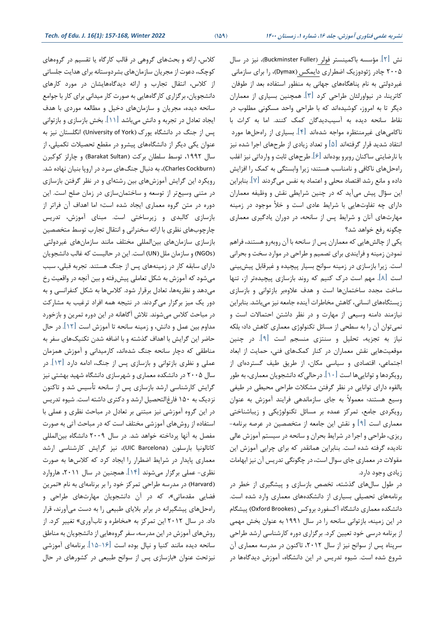نش  $\lceil \mathfrak{c} \rceil$ . مؤسسه باکمینستر فولر (Buckminster Fuller)، نیز در سال )Dymax)، را برای سازمانی 2005 چادر ژئودوزیک اضطراری دایمکس غیردولتی به نام پناهگاههای جهانی به منظور استفاده بعد از طوفان کاترینا، در نیواورلئان طراحی کرد ] 3[. همچنین بسیاری از معماران دیگر تا به امروز ، کوشیدهاند که با طراحی واحد مسکونی مطلوب در نقاط سانحه دیده به آسیبدیدگان کمک کنند. اما به کرات با ناکامی های غیر منتظره مواجه شده اند ]4[. بسیاری از راه حلها مورد انتقاد شدید قرار گرفتهاند ]5[ و تعداد زیادی از طرحهای اجرا شده نیز با نارضایتی ساکنان روبرو بوده اند ]6[. طرح های ثابت و وارداتی نیز اغلب راه حلهای ناکافی و نامناسب هستند؛ زیرا وابستگی به کمک را افزایش داده و مانع رشد اقتصاد محلی و اعتماد به نفس می گردند ]7[. بنابراین این سؤال پیش می آید که در چنین شرایطی نقش و وظیفه معماران دارای چه تفاوت هایی با شرایط عادی است و خأل موجود در زمینه مهارت های آنان و شرایط پس از سانحه، در دوران یادگیری معماری چگونه رفع خواهد شد؟

یکی از چالش هایی که معماران پس از سانحه با آن روبهرو هستند، فراهم نمودن زمینه و فرایندی برای تصمیم و طراحی در موارد سخت و بحرانی است. زیرا بازسازی در زمینه سوانح بسیار پیچیده و غیرقابل پیش بینی است ]8[. مهم است درك کنیم که روند بازسازی پیچیده تر از، تنها ساخت مجدد ساختمانها است و هدف علاوهبر بازتوانی و بازسازی زیستگاه های انسانی، کاهش مخاطرات آینده جامعه نیز می باشد. بنابراین نیازمند دامنه وسیعی از مهارت و در نظر داشتن احتماالت است و نمیتوان آن را به سطحی از مسائل تکنولوژی معماری کاهش داد؛ بلکه نیاز به تجزیه، تحلیل و سنتزی منسجم است ]9[. در چنین موقعیت هایی نقش معماران در کنار کمکهای فنی، حمایت از ابعاد اجتماعی، اقتصادی و سیاسی مکان، از طریق طیف گستردهای از رویکردها و توانایی ها است ]10[ . درحالیکه دانشجویان معماری، به طور بالقوه دارای توانایی در نظر گرفتن مشکالت طراحی محیطی در طیفی وسیع هستند؛ معموالً به جای سازماندهی فرایند آموزش به عنوان رویکردی جامع، تمرکز عمده بر مسائل تکنولوژیکی و زیباشناختی معماری است ]9[ و نقش این جامعه از متخصصین در عرصه برنامه- ریزی، طراحی و اجرا در شرایط بحران و سانحه در سیستم آموزش عالی نادیده گرفته شده است. بنابراین همانقدر که برای چرایی آموزش این مقوالت در معماری جای سوال است، در چگونگی تدریس آن نیز ابهامات زیادی وجود دارد.

در طول سال های گذشته، تخصص بازسازی و پیشگیری از خطر در برنامه های تحصیلی بسیاری از دانشکده های معماری وارد شده است. دانشکده معماری دانشگاه آکسفورد بروکس (Oxford Brookes) پیشگام در این زمینه، بازتوانی سانحه را در سال 1991 به عنوان بخش مهمی از برنامه درسی خود تعیین کرد. برگزاری دوره کارشناسی ارشد طراحی سرپناه پس از سوانح نیز از سال ۲۰۱۲، تاکنون در مدرسه معماری آن شروع شده است. شیوه تدریس در این دانشگاه، آموزش دیدگاهها در

کالس، ارائه و بحثهای گروهی در قالب کارگاه یا تقسیم در گروههای کوچک ، دعوت از مجریان سازمان های بشردوستانه برای هدایت جلساتی از کالس، انتقال تجارب و ارائه دیدگاههایشان در مورد کارهای دانشجویان ، برگزاری کارگاههایی به صورت کار میدانی برای کار با جوامع سانحه دیده، مجریان و سازمان های دخیل و مطالعه موردی با هدف ایجاد تعادل در تجربه و دانش میباشد ]11[. بخش بازسازی و بازتوانی پس از جنگ در دانشگاه یورک (University of York) انگلستان نیز به عنوان یکی دیگر از دانشگاه های پیشرو در مقطع تحصیالت تکمیلی، از سال ۱۹۹۲، توسط سلطان برکت (Barakat Sultan) و چارلز کوکبرن (Charles Cockburn)، به دنبال جنگهای سرد در اروپا بنیان نهاده شد. رویکرد این گرایش آموزشهای بین رشتهای و در نظر گرفتن بازسازی در متنی وسیعتر از توسعه و ساختمانسازی در زمان صلح است. این دوره در متن گروه معماری ایجاد شده است؛ اما اهداف آن فراتر از بازسازی کالبدی و زیرساختی است. مبنای آموزش، تدریس چارچوب های نظری با ارائه سخنرانی و انتقال تجارب توسط متخصصین بازسازی سازمانهای بین المللی مختلف مانند سازمانهای غیردولتی )NGOs )و سازمان ملل)UN )است. این در حالیست که غالب دانشجویان دارای سابقه کار در زمینههای پس از جنگ هستند. تجربه قبلی، سبب میشود که آموزش به شکل تعاملی پیشرفته و بین آنچه در واقعیت رخ میدهد و نظریهها، تعادل برقرار شود. کالسها به شکل کنفرانسی و به دور یک میز برگزار میگردند. در نتیجه همه افراد ترغیب به مشارکت در مباحث کالس میشوند. تالش آگاهانه در این دوره تمرین و بازخورد مداوم بین عمل و دانش، و زمینه سانحه تا آموزش است ]12[ . در حال حاضر این گرایش با اهداف گذشته و با اضافه شدن تکنیکهای سفر به مناطقی که دچار سانحه جنگ شده اند، کارمیدانی و آموزش همزمان عملی و نظری بازتوانی و بازسازی پس از جنگ، ادامه دارد ]13[. در سال 2005 در دانشکده معماری و ش هرسازی دانشگاه شهید بهشتی نیز گرایش کارشناسی ارشد بازسازی پس از سانحه تأسیس شد و تاکنون نزدیک به 150 فارغالتحصیل ارشد و دکتری داشته است. شیوه تدریس در این گروه آموزشی نیز مبتنی بر تعادل در مباحث نظری و عملی با استفاده از روشهای آموزشی مختلف است که در مباحث آتی به صورت مفصل به آنها پرداخته خواهد شد. در سال 2009 دانشگاه بین المللی کاتالونیا بارسلون )Barcelona UIC)، نیز گرایش کارشناسی ارشد معماری پایدار در شرایط اضطرار را ایجاد کرد که کالسها به صورت نظری- عملی برگزار میشوند ]14[. همچنین در سال ،2011 هاروارد (Harvard) در مدرسه طراحی تمرکز خود را بر برنامهای به نام «تمرین فضایی مقدماتی»، که در آن دانشجویان مهارتهای طراحی و راه حلهای پیشگیرانه در برابر بالیای طبیعی را به دست میآورند، قرار داد. در سال ۲۰۱۲ این تمرکز به «مخاطره و تابآوری» تغییر کرد. از روشهای آموزش در این مدرسه، سفر گروههایی از دانشجویان به مناطق سانحه دیده مانند کنیا و نپال بوده است ]15-16[. برنامه ای آموزشی نیزتحت عنوان »بازسازی پس از سوانح طبیعی در کشورهای در حال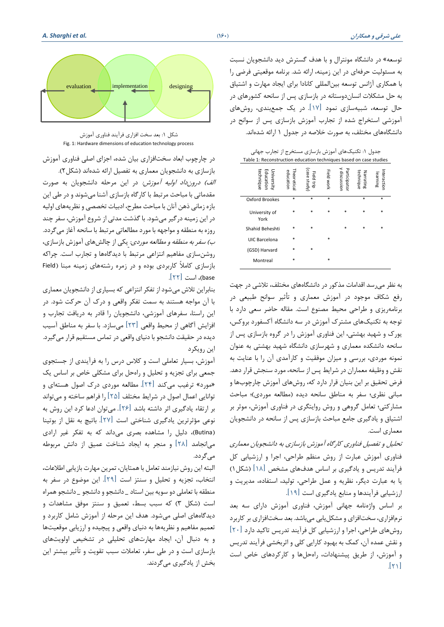توسعه» در دانشگاه مونترال و با هدف گسترش دید دانشجویان نسبت به مسئولیت حرفه ای در این زمینه، ارائه شد. برنامه موقعیتی فرضی را با همکاری آژانس توسعه بینالمللی کانادا برای ایجاد مهارت و اشتیاق به حل مشکالت انسان دوستانه در بازسازی پس از سانحه کشورهای در حال توسعه، شبیهسازی نمود ]17[. در یک جمعبندی، روشهای آموزشی استخراج شده از تجارب آموزش بازسازی پس از سوانح در دانشگاههای مختلف، به صورت خالصه در جدول 1 ارائه شدهاند.

| جدول ۱: تکنیکهای آموزش بازسازی مستخرج از تجارب جهانی<br>Table 1: Reconstruction education techniques based on case studies |                         |                          |            |                              |                        |                         |
|----------------------------------------------------------------------------------------------------------------------------|-------------------------|--------------------------|------------|------------------------------|------------------------|-------------------------|
| University<br>Education<br>technique                                                                                       | Theoretica<br>education | case study<br>Field trip | Field work | y discussion<br>Participator | technique<br>Narrating | Interaction<br>Iearning |
| Oxford Brookes                                                                                                             | $\ast$                  | $\ast$                   | $\ast$     |                              | $\ast$                 | $\ast$                  |
| University of<br>York                                                                                                      | $\ast$                  | *                        | $\ast$     | $\ast$                       | $\ast$                 | $\ast$                  |
| Shahid Beheshti                                                                                                            | $\ast$                  |                          |            | $\ast$                       | $\ast$                 | *                       |
| UIC Barcelona                                                                                                              | $\ast$                  |                          | $\ast$     |                              |                        |                         |
| (GSD) Harvard                                                                                                              | $\ast$                  | *                        |            |                              |                        |                         |
| Montreal                                                                                                                   | $\ast$                  |                          | *          |                              |                        |                         |

به نظر می رسد اقدامات مذکور در دانشگاههای مختلف، تالشی در جهت رفع شکاف موجود در آموزش معماری و تأثیر سوانح طبیعی در برنامه ریزی و طراحی محیط مصنوع است. مقاله حاضر سعی دارد با توجه به تکنیکهای مشترك آموزش در سه دانشگاه آکسفورد بروکس، یورك و شهید بهشتی، این فناوری آموزش را در گروه بازسازی پس از سانحه دانشکده معماری و شهرسازی دانشگاه شهید بهشتی به عنوان نمونه موردی، بررسی و میزان موفقیت و کارآمدی آن را با عنایت به نقش و وظیفه معماران در شرایط پس از سانحه، مورد سنجش قرار دهد. فرض تحقیق بر این بنیان قرار دارد که، روشهای آموزش چارچوبها و مبانی نظری؛ سفر به مناطق سانحه دیده (مطالعه موردی)؛ مباحث مشارکتی؛ تعامل گروهی و روش روایتگری در فناوری آموزش، موثر بر اشتیاق و یادگیری جامع مباحث بازسازی پس از سانحه در دانشجویان معماری است.

تحلیل و تفصیل فناوری کارگاه آموزش بازسازی به دانشجویان معماری فناوری آموزش عبارت از روش منظم طراحی، اجرا و ارزشیابی کل فرآیند تدریس و یادگیری بر اساس هدفهای مشخص ]18[ )شکل1( یا به عبارت دیگر، نظریه و عمل طراحی، تولید، استفاده، مدیریت و ارزشیابی فرآیندها و منابع یادگیری است ]19[.

بر اساس واژهنامه جهانی آموزش، فناوری آموزش دارای سه بعد نرم افزاری، سختافزای و مشکل یابی میباشد. بعد سخت افزاری بر کاربرد روش های طراحی، اجرا و ارزشیابی کل فرآیند تدریس تاکید دارد ]20[ و نقش عمده آن، کمک به بهبود کارایی کلی و اثربخشی فرآیند تدریس و آموزش، از طریق پیشنهادات، راه حل ها و کارکردهای خاص است  $[r_1]$ 



شکل :1 بعد سخت افزاری فرآیند فناوری آموزش Fig. 1: Hardware dimensions of education technology process

در چارچوب ابعاد سخت افزاری بیان شده، اجزای اصلی فناوری آموزش بازسازی به دانشجویان معماری به تفصیل ارائه شدهاند )شکل2(. الف) درون داد اولیه آموزش: در این مرحله دانشجویان به صورت مقدماتی با مباحث مرتبط با کارگاه بازسازی آشنا می شوند و در طی این بازه زمانی ذهن آنان با مباحث مطرح، ادبیات تخصصی و نظریههای اولیه در این زمینه درگیر میشود. با گذشت مدتی از شروع آموزش، سفر چند روزه به منطقه و مواجهه با مورد مطالعاتی مرتبط با سانحه آغاز می گردد. ب) سفر به منطقه و مطالعه موردی: یکی از چالش های آموزش بازسازی، روشن سازی مفاهیم انتزاعی مرتبط با دیدگاه ها و تجارب است. چراکه بازسازی کامالً کاربردی بوده و در زمره رشتههای زمینه مبنا ) Field base)، است ]22[.

بنابراین تالش میشود از تفکر انتزاعی که بسیاری از دانشجویان معماری با آن مواجه هستند به سمت تفکر واقعی و درك آن حرکت شود. در این راستا، سفرهای آموزشی، دانشجویان را قادر به دریافت تجارب و افزایش آگاهی از محیط واقعی ]23[ میسازد. با سفر به مناطق آسیب دیده در حقیقت دانشجو با دنیای واقعی در تماس مستقیم قرار میگیرد. این رویکرد

آموزش، بسیار تعاملی است و کالس درس را به فرآیندی از جستجوی جمعی برای تجزیه و تحلیل و راه حل برای مشکلی خاص بر اساس یک »مورد« ترغیب میکند ]24[. مطالعه موردی درك اصول هستهای و توانایی اعمال اصول در شرایط مختلف ]25[ را فراهم ساخته و می تواند بر ارتقاء یادگیری اثر داشته باشد ]26[. میتوان ادعا کرد این روش به نوعی مؤثرترین یادگیری شناختی است ]27[. باتیچ به نقل از بوتینا )Butina)، دلیل را مشاهده بصری میداند که به تفکر غیر ارادی میانجامد ]28[ و منجر به ایجاد شناخت عمیق از دانش مربوطه میگردد.

البته این روش نیازمند تعامل با همتایان، تمرین مهارت بازیابی اطالعات، انتخاب، تجزیه و تحلیل و سنتز است ]29[. این موضوع در سفر به منطقه با تعاملی دو سویه بین استاد \_ دانشجو و دانشجو \_ دانشجو همراه است ) شکل 3( که سبب بسط، تعمیق و سنتز موفق مشاهدات و دیدگاه های اصلی میشود. هدف این مرحله از آموزش شامل کاربرد و تعمیم مفاهیم و نظریهها به دنیای واقعی و پیچیده و ارزیابی موقعیتها و به دنبال آن، ایجاد مهارت های تحلیلی در تشخیص اولویت های بازسازی است و در طی سفر، تعامالت سبب تقویت و تأثیر بیشتر این بخش از یادگیری می گردند.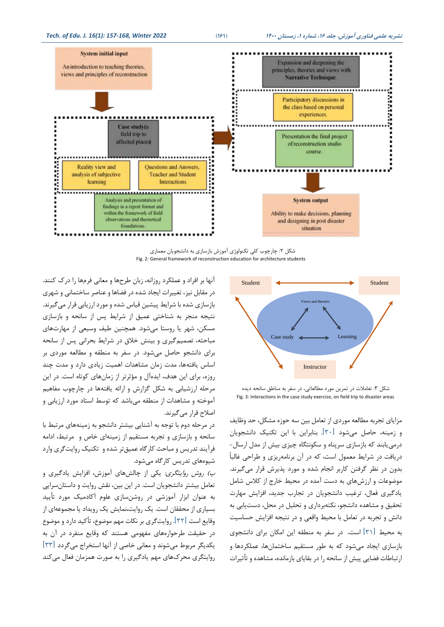

شکل :2 چارچوب کلی تکنولوژی آموزش بازسازی به دانشجویان معماری Fig. 2: General framework of reconstruction education for architecture students



شکل ۳: تعاملات در تمرین مورد مطالعاتی، در سفر به مناطق سانحه دیده Fig. 3: Interactions in the case study exercise, on field trip to disaster areas

مزایای تجربه مطالعه موردی از تعامل بین سه حوزه مشکل، حد وظایف و زمینه، حاصل می شود ]30[. بنابراین با این تکنیک دانشجویان درمییابند که بازسازی سرپناه و سکونتگاه چیزی بیش از مدل ارسال- دریافت در شرایط معمول است ، که در آن برنامه ریزی و طراحی غالباً بدون در نظر گرفتن کاربر انجام شده و مورد پذیرش قرار می گیرند. موضوعات و ارزش های به دست آمده در محیط خارج از کالس شامل یادگیری فعال، ترغیب دانشجویان در تجارب جدید، افزایش مهارت تحقیق و مشاهده دانشجو، نکته برداری و تحلیل در محل، دستیابی به دانش و تجربه در تعامل با محیط واقعی و در نتیجه افزایش حساسیت به محیط ]31[ است. در سفر به منطقه این امکان برای دانشجوی بازسازی ایجاد می شود که به طور مستقیم ساختمان ها، عملکردها و ارتباطات فضایی پیش از سانحه را در بقایای بازمانده، مشاهده و تأثیرات

آنها بر افراد و عملکرد روزانه، زبان طرح ها و معانی فرمها را درك کنند. در مقابل نیز، تغییرات ایجاد شده در فضاها و عناصر ساختمانی و شهری بازسازی شده با شرایط پیشین قیاس شده و مورد ارزیابی قرار می گیرند. نتیجه منجر به شناختی عمیق از شرایط پس از سانحه و بازسازی مسکن، شهر یا روستا می شود. همچنین طیف وسیعی از مهارتهای مباحثه، تصمیمگیری و بینش خالق در شرایط بحرانی پس از سانحه برای دانشجو حاصل میشود. در سفر به منطقه و مطالعه موردی بر اساس یافتهها، مدت زمان مشاهدات اهمیت زیادی دارد و مدت چند روزه، برای این هدف، ایده آل و مؤثرتر از زمان های کوتاه است. در این مرحله ارزشیابی به شکل گزارش و ارائه یافتهها در چارچوب مفاهیم آموخته و مشاهدات از منطقه میباشد که توسط استاد مورد ارزیابی و اصالح قرار می گیرند.

در مرحله دوم با توجه به آشنایی بیشتر دانشجو به زمینههای مرتبط با سانحه و بازسازی و تجربه مستقیم از زمینهای خاص و مرتبط، ادامه فرآیند تدریس و مباحث کارگاه عمیق تر شده و تکنیک روایت گری وارد شیوه های تدریس کارگاه میشود.

پ) ر*وش روایتگری:* یکی از چالش های آموزش، افزایش یادگیری و تعامل بیشتر دانشجویان است. در این بین، نقش روایت و داستان سرایی به عنوان ابزار آموزشی در روشن سازی علوم آکادمیک مورد تأیید بسیاری از محققان است. یک روایت،نمایش یک رویداد یا مجموعه ای از وقایع است ]32[. روایت گری بر نکات مهم موضوع، تأکید دارد و موضوع در حقیقت طرحوارههای مفهومی هستند که وقایع منفرد در آن به یکدیگر مربوط می شوند و معانی خاصی از آنها استخراج میگردد ]33[ روایتگری محركهای مهم یادگیری را به صورت همزمان فعال می کند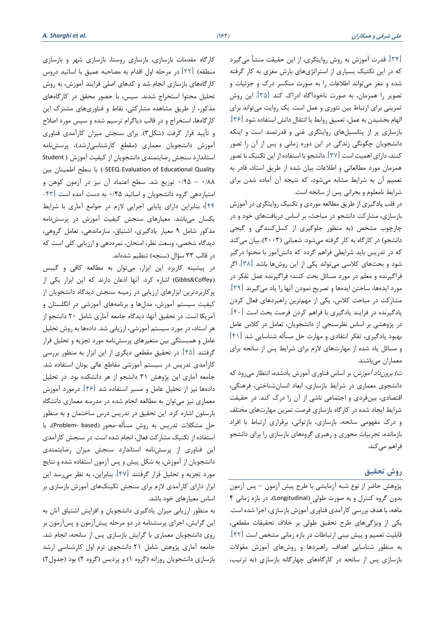]34[. قدرت آموزش به روش روایتگری، از این حقیقت منشأ می گیرد که در این تکنیک بسیاری از استراتژیهای بارش مغزی به کار گرفته شده و مغز میتواند اطالعات را به صورت منکسر درك و جزئیات و تصویر را همزمان، به صورت ناخودآگاه ادراك کند ]35[. این روش تمرینی برای ارتباط بین تئوری و عمل است. یک روایت می تواند برای الهام بخشیدن به عمل، تعمیق روابط یا انتقال دانش استفاده شود ]36[. بازسازی پر از پتانسیل های روایتگری غنی و قدرتمند است و اینکه دانشجویان چگونگی زندگی در این دوره زمانی و پس از آن را تصور کنند، دارای اهمیت است ]37[. دانشجو با استفاده از این تکنیک با تصور همزمان مورد مطالعاتی و اطالعات بیان شده از طریق استاد، قادر به تعمیم آن به شرایط مشابه میشود، که نتیجه آن آماده شدن برای شرایط نامعلوم و بحرانی پس از سانحه است.

در قلب یادگیری از طریق مطالعه موردی و تکنیک روایتگری در آموزش بازسازی، مشارکت دانشجو در مباحث، بر اساس دریافت های خود و در چارچوب مشخص )به منظور جلوگیری از کسلکنندگی و گیجی دانشجو) در کارگاه به کار گرفته میشود. شعبانی (۲۰۰۳)، بیان می کند که در تدریس باید شرایطی فراهم گردد که دانش آموز با محتوا درگیر شود و بحثهای کالسی میتواند یکی از این روشها باشد ]38[. اگر فراگیرنده و معلم در مورد مسائل بحث کنند؛ فراگیرنده عمل تفکر در مورد ایدهها، ساختن ایدهها و تصریح نمودن آنها را یاد میگیرند  $\lceil 79 \rceil$ . مشارکت در مباحث کالس، یکی از مهم ترین راهبردهای فعال کردن یادگیرنده در فرایند یادگیری با فراهم کردن فرصت بحث است ]40[. در پژوهشی بر اساس نظرسنجی از دانشجویان، تعامل در کالس عامل بهبود یادگیری، تفکر انتقادی و مهارت حل مسأله شناسایی شد ]41[ و مسائل یاد شده از مهارت های الزم برای شرایط پس از سانحه برای معماران میباشند.

ت*) برون داد آموزش:* بر اساس فناوری آموزش یادشده، انتظار میرود که دانشجوی معماری در شرایط بازسازی، ابعاد انسان شناختی، فرهنگی، اقتصادی، بینفردی و اجتماعی ناشی از آن را درك کند. در حقیقت شرایط ایجاد شده در کارگاه بازسازی فرصت تمرین مهارتهای مختلف و درك مفهومی سانحه، بازسازی، بازتوانی، برقراری ارتباط با افراد بازمانده، تجربیات محوری و رهبری گروههای بازسازی را برای دانشجو فراهم میکند.

#### **روش تحقیق**

پژوهش حاضر از نوع شبه آزمایشی با طرح پیش آزمون – پس آزمون بدون گروه کنترل و به صورت طولی (Longitudinal)، در بازه زمانی ۴ ماهه، با هدف بررسی کارآمدی فناوری آموزش بازسازی، اجرا شده است. یکی از ویژگیهای طرح تحقیق طولی بر خالف تحقیقات مقطعی، قابلیت تعمیم و پیش بینی ارتباطات در بازه زمانی مشخص است ]42[. به منظور شناسایی اهداف، راهبردها و روشهای آموزش مقوالت بازسازی پس از سانحه در کارگاههای چهارگانه بازسازی )به ترتیب،

کارگاه مقدمات بازسازی، بازسازی روستا، بازسازی شهر و بازسازی منطقه) [۲۲] در مرحله اول اقدام به مصاحبه عمیق با اساتید دروس کارگاه های بازسازی انجام شد و کدهای اصلی فرایند آموزش ، به روش تحلیل محتوا استخراج شدند. سپس ، با حض ور محقق در کارگاه های مذکور، از طریق مشاهده مشارکتی، نقاط و فناوریهای مشترك این کارگاهها، استخراج و در قالب دیاگرام ترسیم شده و سپس مورد اصلاح و تأیید قرار گرفت )شکل3(. برای سنجش میزان کارآمدی فناوری آموزش دانشجویان معماری )مقطع کارشناسی ارشد(، پرسش نامه استاندارد سنجش رضایتمندی دانشجویان از کیفیت آموزش Student ( بین اطمینان سطح با( -SEEQ-Evaluation of Educational Quality 0/88 – 0/95 توزیع شد. سطح اعتماد آن نیز در آزمون کوهن و امتیازدهی گروه دانشجویان و اساتید 0/45 به دست آمده است ]-43 44[؛ بنابراین دارای پایایی اجرایی الزم در جوامع آماری با شرایط یکسان میباشد. معیارهای سنجش کیفیت آموزش در پرسش نامه مذکور شامل 9 معیار یادگیری، اشتیاق، سازماندهی، تعامل گروهی، دیدگاه شخصی، وسعت نظر، امتحان، نمرهدهی و ارزیابی کلی است که در قالب ٣٣ سؤال (سنجه) تنظیم شدهاند.

 در پیشینه کاربرد این ابزار، میتوان به مطالعه کافی و گیبس )Coffey&Gibbs )اشاره کرد. آنها اذعان دارند که این ابزار یکی از پرکاربردترین ابز ارهای ارزیابی در زمینه سنجش دیدگاه دانشجویان از کیفیت سیستم آموزش، مدل ها و برنامههای آموزشی در انگلستان و آمریکا است. در تحقیق آنها، دیدگاه جامعه آماری شامل 20 دانشجو از هر استاد، در مورد سیستم آموزشی، ارزیابی شد. دادهها به روش تحلیل عامل و همبستگی بین متغیرهای پرسش نامه مورد تجزیه و تحلیل قرار گرفتند ]45[. در تحقیق مقطعی دیگری از این ابزار به منظور بررسی کارآمدی تدریس در سیستم آموزشی مقاطع عالی یونان استفاده شد. جامعه آ ماری این پژوهش 31 دانشجو از هر دانشکده بود. در تحلیل دادهها نیز از تحلیل عامل و مسیر استفاده شد ]46[. درمورد آموزش معماری نیز میتوان به مطالعه انجام شده در مدرسه معماری دانشگاه بارسلون اشاره کرد. این تحقیق در تدریس درس ساختمان و به منظور حل مشکلات تدریس به روش مسأله-محور (Problem- based)، با استفاده از تکنیک مشارکت فعال، انجام شده است . در سنجش کارآمدی این فناوری از پرسش نامه استاندارد سنجش میزان رضایتمندی دانشجویان از آموزش ، به شکل پیش و پس آزمون استفاده شده و نتایج مورد تجزیه و تحلیل قرار گرفتند ] 47[. بنابراین، به نظر میرسد این ابزار دارای کارآمدی الزم برای سنجش تکینکهای آ موزش بازسازی بر اساس معیارهای خود باشد.

به منظور ارزیابی میزان یادگیری دانشجویان و افزایش اشتیاق آنان به این گرایش، اجرای پرسشنامه در دو مرحله پیش آزمون و پس آزمون بر روی دانشجویان معماری با گرایش بازسازی پس از سانحه، انجام شد. جامعه آماری پژوهش شامل 21 دانشجوی ترم اول کارشناسی ارشد بازسازی دانشجویان روزانه (گروه ۱) و پردیس (گروه ۲) بود (جدول۲)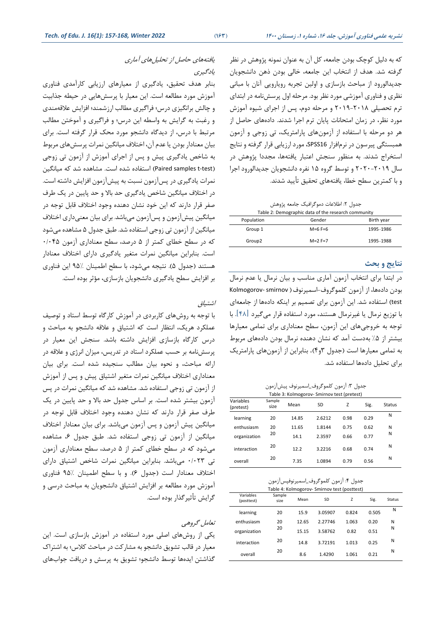که به دلیل کوچک بودن جامعه، کل آن به عنوان نمونه پژوهش در نظر گرفته شد. هدف از انتخاب این جامعه، خالی بودن ذهن دانشجویان جدیدالورود از مباحث بازسازی و اولین تجربه رویارویی آنان با مبانی نظری و فناوری آموزشی مورد نظر بود. مرحله اول پرسش نامه در ابتدای ترم تحصیلی 2019-2018 و مرحله دوم، پس از اجرای شیوه آموزش مورد نظر، در زمان امتحانات پایان ترم اجرا شدند. داده های حاصل از هر دو مرحله با استفاده از آزمونهای پارامتریک، تی زوجی و آزمون همبستگی پیرسون در نرم افزار 16SPSS، مورد ارزیابی قرار گرفته و نتایج استخراج شدند. به منظور سنجش اعتبار یافتهها، مجددا پژوهش در سال 2020-2019 و توسط گروه 15 نفره دانشجویان جدیدالورود اجرا و با کمترین سطح خطا، یافتههای تحقیق تأیید شدند.

جدول ۲: اطلاعات دموگرافیک جامعه پژوهش

| Table 2: Demographic data of the research community |           |            |  |  |  |  |  |
|-----------------------------------------------------|-----------|------------|--|--|--|--|--|
| Population                                          | Gender    | Birth year |  |  |  |  |  |
| Group 1                                             | $M=6$ F=6 | 1995-1986  |  |  |  |  |  |
| Group <sub>2</sub>                                  | $M=2$ F=7 | 1995-1988  |  |  |  |  |  |

#### **نتایج و بحث**

در ابتدا برای انتخاب آزمون آماری مناسب و بیان نرمال یا عدم نرمال بودن داده ها، از آزمون کلموگروف-اسمیرنوف Kolmogorov- smirnov ( test )استفاده شد. این آزمون برای تصمیم بر اینکه دادهها از جامعهای با توزیع نرمال یا غیرنرمال هستند، مورد استفاده قرار میگیرد ]48[. با توجه به خروجیهای این آزمون، سطح معناداری برای تمامی معیارها بیشتر از ۵٪ بهدست آمد که نشان دهنده نرمال بودن دادههای مربوط به تمامی معیارها است )جدول 3و4( . بنابراین از آزمونهای پارامتریک برای تحلیل دادهها استفاده شد.

جدول ٣: آزمون کلموگروف\_اسمیرنوف پیشآزمون

| Table 3: Kolmogorov- Smirnov test (pretest) |                |       |        |      |      |        |  |  |  |  |
|---------------------------------------------|----------------|-------|--------|------|------|--------|--|--|--|--|
| Variables<br>(pretest)                      | Sample<br>size | Mean  | SD     | Z    | Sig. | Status |  |  |  |  |
| learning                                    | 20             | 14.85 | 2.6212 | 0.98 | 0.29 | N      |  |  |  |  |
| enthusiasm                                  | 20             | 11.65 | 1.8144 | 0.75 | 0.62 | N      |  |  |  |  |
| organization                                | 20             | 14.1  | 2.3597 | 0.66 | 0.77 | N      |  |  |  |  |
| interaction                                 | 20             | 12.2  | 3.2216 | 0.68 | 0.74 | N      |  |  |  |  |
| overall                                     | 20             | 7.35  | 1.0894 | 0.79 | 0.56 | N      |  |  |  |  |

| جدول ۴: آزمون كلموگروف_اسميرنوفپسآزمون |  |
|----------------------------------------|--|
|----------------------------------------|--|

| Table 4: Kolmogorov- Smirnov test (posttest) |                |       |           |       |       |        |  |  |  |
|----------------------------------------------|----------------|-------|-----------|-------|-------|--------|--|--|--|
| Variables<br>(posttest)                      | Sample<br>size | Mean  | <b>SD</b> | Z     | Sig.  | Status |  |  |  |
| learning                                     | 20             | 15.9  | 3.05907   | 0.824 | 0.505 | N      |  |  |  |
| enthusiasm                                   | 20             | 12.65 | 2.27746   | 1.063 | 0.20  | N      |  |  |  |
| organization                                 | 20             | 15.15 | 3.58762   | 0.82  | 0.51  | N      |  |  |  |
| interaction                                  | 20             | 14.8  | 3.72191   | 1.013 | 0.25  | N      |  |  |  |
| overall                                      | 20             | 8.6   | 1.4290    | 1.061 | 0.21  | N      |  |  |  |

یافتههای حاصل از تحلیلهای آماری یادگیری

بنابر هدف تحقیق، یادگیری از معیارهای ارزیابی کارآمدی فناوری آموزش مورد مطالعه است. این معیار با پرسش هایی در حیطه جذابیت و چالش برانگیزی درس؛ فراگیری مطالب ارزشمند؛ افزایش عالقه مندی و رغبت به گرایش به واسطه این درس؛ و فراگیری و آموختن مطالب مرتبط با درس، از دیدگاه دانشجو مورد محک قرار گرفته است. برای بیان معنادار بودن یا عدم آن، اختالف میانگین نمرات پرسشهای مربوط به شاخص یادگیری پیش و پس از اجرای آموزش از آزمون تی زوجی (Paired samples t-test) استفاده شده است. مشاهده شد که میانگین نمرات یادگیری در پس آزمون نسبت به پیشآزمون افزایش داشته است. در اختالف میانگین شاخص یادگیری حد باال و حد پایین در یک طرف صفر قرار دارند که این خود نشان دهنده وجود اختالف قابل توجه در میانگین پیش آزمون و پس آزمون میباشد. برای بیان معنیداری اختالف میانگین از آزمون تی زوجی استفاده شد. طبق جدول 5 مشاهده می شود که در سطح خطای کمتر از 5 درصد، سطح معناداری آزمون 0/045 است. بنابراین میانگین نمرات متغیر یادگیری دارای اختالف معنادار هستند (جدول ۵). نتیجه میشود، با سطح اطمینان 9۵٪ این فناوری بر افزایش سطح یادگیری دانشجویان بازسازی، م ؤثر بوده است.

# اشتیاق

با توجه به روش های کاربردی در آموزش کارگاه توسط استاد و توصیف عملکرد هریک، انتظار است که اشتیاق و عالقه دانشجو به مباحث و درس کارگاه بازسازی افزایش داشته باشد. سنجش این معیار در پرسش نامه بر حسب عملکرد استاد در تدریس، میزان انرژی و عالقه در ارائه مباحث، و نحوه بیان مطال ب سنجیده شده است. برای بیان معناداری اختالف میانگین نمرات متغیر اشتیاق پیش و پس از آموزش از آزمون تی زوجی استفاده شد. مشاهده شد که میانگین نمرات در پس آزمون بیشتر شده است. بر اساس جدول حد باال و حد پایین در یک طرف صفر قرار دارند که نشان دهنده وجود اختالف قابل توجه در میانگین پیش آزمون و پس آزمون میباشد. برای بیان معنادار اختالف میانگین از آزمون تی زوجی استفاده شد. طبق جدول ،6 مشاهده میشود که در سطح خطای کمتر از 5 درصد، سطح معناداری آزمون تی 0/023 میباشد. بنابراین میانگین نمرات شاخص اشتیاق دارای اختالف معنادار است )جدول 6(. و با سطح اطمینان 95% فناوری آموزش مورد مطالعه بر افزایش اشتیاق دانشجویان به مباحث درسی و گرایش تأثیرگذار بوده است.

# تعامل گروهی

یکی از روشهای اصلی مورد استفاده در آموزش بازسازی است. این معیار در قالب تشویق دانشجو به مشارکت در مباحث کالس؛ به اشتراك گذاشتن ایده ها توسط دانشجو؛ تشویق به پرسش و دریافت جوابهای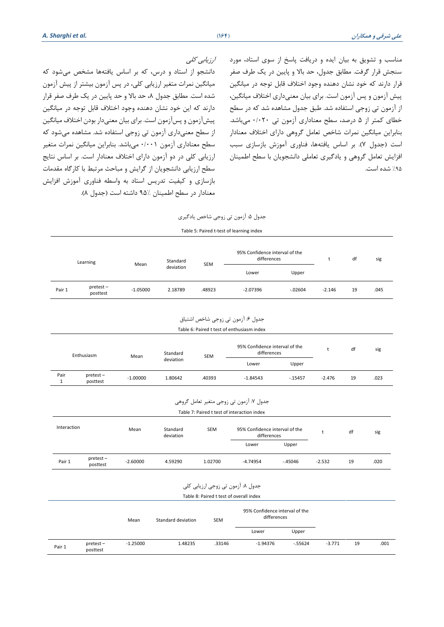ارزیابی کلی

دانشجو از استاد و درس، که بر اساس یافتهها مشخص میشود که میانگین نمرات متغیر ارزیابی کلی، در پس آزمون بیشتر از پیش آزمون شده است. مطابق جدول ۸، حد بالا و حد پایین در یک طرف صفر قرار دارند که این خود نشان دهنده وجود اختالف قابل توجه در میانگین پیش آزمون و پس آزم ون است. برای بیان معنیدار بودن اختالف میانگین از سطح معنی داری آزمون تی زوجی استفاده شد. مشاهده می شود که سطح معناداری آزمون 0/001 می باشد. بنابراین میانگین نمرات متغیر ارزیابی کلی در دو آزمون دارای اختالف معنادار است. بر اساس نتایج سطح ارزیابی دانشجویان از گرایش و مباحث مرتبط با کارگاه مقدمات بازسازی و کیفیت تدریس استاد به واسطه فناوری آموزش افزایش معنادار در سطح اطمینان 9۵٪ داشته است (جدول ۸).

مناسب و تشویق به بیان ایده و دریافت پاسخ از سوی استاد، مورد سنجش قرار گرفت. مطابق جدول، حد باال و پایین در یک طرف صفر قرار دارند که خود نشان دهنده وجود اختالف قابل توجه در میانگین پیش آزمون و پس آزمون است. برای بیان معنیداری اختالف میانگین ، از آزمون تی زوجی استفاده شد. طبق جدول مشاهده شد که در سطح خطای کمتر از 5 درصد، سطح معناداری آزمون تی 0/020 میباشد. بنابراین میانگین نمرات شاخص تعامل گروهی دارای اختالف معنادار است )جدول 7(. بر اساس یافتهها، فناوری آموزش بازسازی سبب افزایش تعامل گروهی و یادگیری تعاملی دانشجویان با سطح اطمینان %95 شده است.

| جدول ۵: آزمون تي زوجي شاخص يادگيري |
|------------------------------------|
|------------------------------------|

|  |  | Table 5: Paired t-test of learning index |  |
|--|--|------------------------------------------|--|
|  |  |                                          |  |

|        | Learning             | Mean       | Standard  | <b>SEM</b> | 95% Confidence interval of the<br>differences |            |          | df | sig  |
|--------|----------------------|------------|-----------|------------|-----------------------------------------------|------------|----------|----|------|
|        |                      |            | deviation |            | Lower                                         | Upper      |          |    |      |
| Pair 1 | pretest-<br>posttest | $-1.05000$ | 2.18789   | .48923     | $-2.07396$                                    | $-0.02604$ | $-2.146$ | 19 | .045 |
|        |                      |            |           |            |                                               |            |          |    |      |

| جدول ۶: ازمون تي زوجي شاخص اشتياق          |
|--------------------------------------------|
| Table 6: Paired t test of enthusiasm index |

| Enthusiasm | Mean                    | Standard   | <b>SEM</b> | 95% Confidence interval of the<br>differences |            | df       | sig      |    |      |
|------------|-------------------------|------------|------------|-----------------------------------------------|------------|----------|----------|----|------|
|            |                         |            | deviation  |                                               | Lower      | Upper    |          |    |      |
| Pair       | $pretest -$<br>posttest | $-1.00000$ | 1.80642    | .40393                                        | $-1.84543$ | $-15457$ | $-2.476$ | 19 | .023 |

جدول :7 آزمون تی زوجی متغیر تعامل گروهی

Table 7: Paired t test of interaction index

| Interaction |                         | Mean       | Standard<br>deviation | <b>SEM</b> | 95% Confidence interval of the<br>differences |          |          | df | sig  |
|-------------|-------------------------|------------|-----------------------|------------|-----------------------------------------------|----------|----------|----|------|
|             |                         |            |                       |            | Lower                                         | Upper    |          |    |      |
| Pair 1      | $pretest -$<br>posttest | $-2.60000$ | 4.59290               | 1.02700    | $-4.74954$                                    | $-45046$ | $-2.532$ | 19 | .020 |

| جدول ۸: آزمون تي زوجي ارزيابي کلي |  |  |  |  |
|-----------------------------------|--|--|--|--|
|-----------------------------------|--|--|--|--|

| Table 8: Paired t test of overall index |                         |            |                    |            |                                               |           |          |    |      |
|-----------------------------------------|-------------------------|------------|--------------------|------------|-----------------------------------------------|-----------|----------|----|------|
|                                         |                         | Mean       | Standard deviation | <b>SEM</b> | 95% Confidence interval of the<br>differences |           |          |    |      |
|                                         |                         |            |                    |            | Lower                                         | Upper     |          |    |      |
| Pair 1                                  | $pretest -$<br>posttest | $-1.25000$ | 1.48235            | .33146     | $-1.94376$                                    | $-.55624$ | $-3.771$ | 19 | .001 |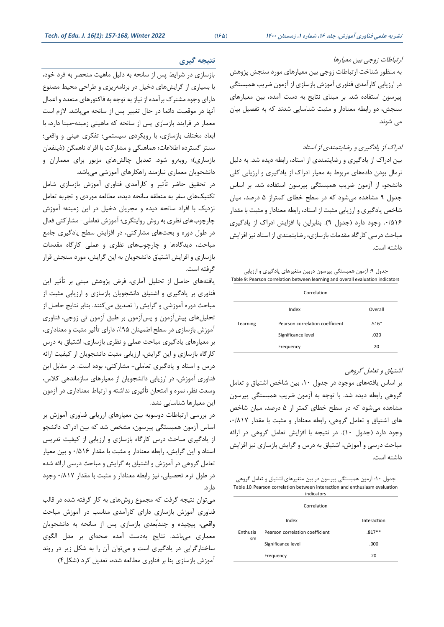#### ارتباطات زوجی بین معیارها

به منظور شناخت ارتباطات زوجی بین معیارهای مورد سنجش پژوهش در ارزیابی کارآمدی فناوری آموزش بازسازی از آزمون ضریب همبستگی پیرسون استفاده شد. بر مبنای نتایج به دست آمده، بین معیارهای سنجش، دو رابطه معنادار و مثبت شناسایی شدند که به تفصیل بیان می شوند.

## ادراك از یادگیری و رضایتمندی از استاد

بین ادراك از یادگیری و رضایتمندی از استاد، رابطه دیده شد. به دلیل نرمال بودن داده های مربوط به معیار ادراك از یادگیری و ارزیابی کلی دانشجو ، از آزمون ضریب همبستگی پیرسون استفاده شد. بر اساس جدول 9 مشاهده می شود که در سطح خطای کمتر از 5 درصد، میان شاخص یادگیری و ارزیابی مثبت از استاد، رابطه معنادار و مثبت با مقدار ،0/516 وجود دارد )جدول 9(. بنابراین با افزایش ادراك از یادگیری مباحث درسی کارگاه مقدمات بازسازی، رضایتمندی از استاد نیز افزایش داشته است.

جدول ۹: آزمون همبستگی پیرسون دربین متغیرهای یادگیری و ارزیابی Table 9: Pearson correlation between learning and overall evaluation indicators

| Correlation |                                 |         |  |  |
|-------------|---------------------------------|---------|--|--|
|             | Index                           | Overall |  |  |
| Learning    | Pearson correlation coefficient | $.516*$ |  |  |
|             | Significance level              | .020    |  |  |
|             | Frequency                       | 20      |  |  |

#### اشتیاق و تعامل گروهی

بر اساس یافتههای موجود در جدول ،10 بین شاخص اشتیاق و تعامل گروهی رابطه دیده شد. با توجه به آزمون ضریب همبستگی پیرسون مشاهده می شود که در سطح خطای کمتر از 5 درصد، میان شاخص های اشتیاق و تعامل گروهی، رابطه معنادار و مثبت با مقدار ،0/817 وجود دارد )جدول 10(. در نتیجه با افزایش تعامل گروهی در ارائه مباحث درسی و آموزش، اشتیاق به درس و گرایش بازسازی نیز افزایش داشته است.

جدول :10 آزمون همبستگی پیرسون در بین متغیرهای اشتیاق و تعامل گروهی Table 10: Pearson correlation between interaction and enthusiasm evaluation indicators

|          | Correlation                     |             |
|----------|---------------------------------|-------------|
|          | Index                           | Interaction |
| Enthusia | Pearson correlation coefficient | $.817**$    |
| sm       | Significance level              | .000        |
|          | Frequency                       | 20          |

# **نتیجه گیری**

بازسازی در شرایط پس از سانحه به دلیل ماهیت منحصر به فرد خود، با بسیاری از گرایش های دخیل در برنامه ریزی و طراحی محیط مصنوع دارای وجوه مشترك برآمده از نیاز به توجه به فاکتورهای متعدد و اعمال آنها در موقعیت دائما در حال تغییر پس از سانحه میباشد. الزم است معمار در فرایند بازسازی پس از سانحه که ماهیتی زمینه-مبنا دارد، با ابعاد مختلف بازسازی، با رویکرد ی سیستمی؛ تفکری عینی و واقعی؛ سنتز گسترده اطالعات؛ هماهنگی و مشارکت با افراد ناهمگن )ذینفعان بازسازی)؛ روبه و شود. تعدیل چالش های مزبور برای معماران و دانشجویان معماری نیازمند راهکارهای آموزشی می باشد.

در تحقیق حاضر تأثیر و کارآمدی فناوری آموزش بازسازی شامل تکنیکهای سفر به منطقه سانحه دیده، مطالعه موردی و تجربه تعامل نزدیک با افراد سانحه دیده و مجریان دخیل در این زمینه؛ آموزش چارچوبهای نظری به روش روایتگری؛ آموزش تعاملی- مشارکتی فعال در طول دوره و بحثهای مشارکتی، در افزایش سطح یادگیری جامع مباحث، دیدگاهها و چارچوبهای نظری و عملی کارگاه مقدمات بازسازی و افزایش اشتیاق دانشجویان به این گرایش، مورد سنجش قرار گرفته است.

یافتههای حاصل از تحلیل آماری ، فرض پژوهش مبنی بر تأثیر این فناوری بر یادگیری و اشتیاق دانشجویان بازسازی و ارزیابی مثبت از مباحث دوره آموزشی و گرایش را تصدیق میکنند. بنابر نتایج حاصل از تحلیلهای پیش آزمون و پس آزمون بر طبق آزمون تی زوجی، فناوری آموزش بازسازی در سطح اطمینان ،%95 دارای تأثیر مثبت و معناداری، بر معیارهای یادگیری مباحث عملی و نظری بازسازی، اشتیاق به درس کارگاه بازسازی و این گرایش، ارزیابی مثبت دانشجویان از کیفیت ارائه درس و استاد و یادگیری تعاملی- مشارکتی، بوده است. در مقابل این فناوری آموزش، در ارزیابی دانشجویان از معیارهای سازماندهی کالس، وسعت نظر، نمره و امتحان تأثیری نداشته و ارتباط معناداری در آزمون این معیارها شناسایی نشد.

در بررسی ارتباطات دوسویه بین معیارهای ارزیابی فناوری آموزش بر اساس آزمون همبستگی پیرسون، مشخص شد که بین ادراك دانشجو از یادگیری مباحث درس کارگاه بازسازی و ارزیابی از کیفیت تدریس استاد و این گرایش، رابطه معنادار و مثبت با مقدار 0/516 و بین معیار تعامل گروهی در آموزش و اشتیاق به گرایش و مباحث درسی ارائه شده در طول ترم تحصیلی، نیز رابطه معنادار و مثبت با مقدار 0/817 وجود دارد.

میتوان نتیجه گرفت که مجموع روشهای به کار گرفته شده در قالب فناوری آموزش بازسازی دارای کارآمدی مناسب در آموزش مباحث واقعی، پیچیده و چندبُعدی بازسازی پس از سانحه به دانشجویان معماری میباشد. نتایج بهدست آمده صحهای بر مدل الگوی ساختارگرایی در یادگیری است و میتوان آن را به شکل زیر در روند آموزش بازسازی بنا بر فناوری مطالعه شده، تعدیل کرد )شکل4(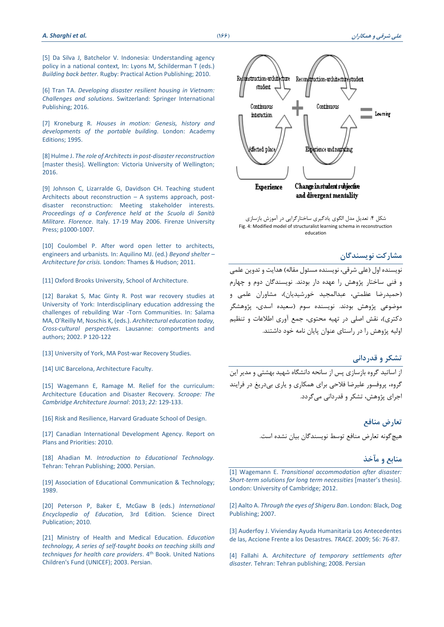[5] Da Silva J, Batchelor [V. Indonesia: Understanding agency](https://www.amazon.com/Building-Back-Better-People-Centred-Reconstruction/dp/1853397016)  [policy in a national context](https://www.amazon.com/Building-Back-Better-People-Centred-Reconstruction/dp/1853397016)*,* In: Lyons M, Schilderman T (eds.) *Building back better.* [Rugby: Practical Action Publishing;](https://www.amazon.com/Building-Back-Better-People-Centred-Reconstruction/dp/1853397016) 2010.

[6] Tran TA. *Developing [disaster resilient housing in Vietnam:](file:///C:/Users/Dr.Sharghi/Downloads/DOI10.1007/978-3-319-26743-2)  Challenges and solutions*[. Switzerland: Springer International](file:///C:/Users/Dr.Sharghi/Downloads/DOI10.1007/978-3-319-26743-2)  [Publishing; 2016.](file:///C:/Users/Dr.Sharghi/Downloads/DOI10.1007/978-3-319-26743-2)

[7] Kroneburg R. *[Houses in motion: Genesis, history and](https://www.amazon.com/Houses-Motion-Development-Portable-Building/dp/B007K4YE9C)  [developments of the portable building.](https://www.amazon.com/Houses-Motion-Development-Portable-Building/dp/B007K4YE9C)* London: Academy [Editions; 1995.](https://www.amazon.com/Houses-Motion-Development-Portable-Building/dp/B007K4YE9C)

[8] Hulme J. *[The role of Architects in post-disaster reconstruction](http://researcharchive.vuw.ac.nz/xmlui/handle/10063/6813)* [\[master thesis\]. Wellington: Victoria University of Wellington;](http://researcharchive.vuw.ac.nz/xmlui/handle/10063/6813)  [2016.](http://researcharchive.vuw.ac.nz/xmlui/handle/10063/6813)

[9] Johnson C, Lizarralde G, [Davidson CH. Teaching student](http://www.fupress.com/catalogo/post-disaster-reconstruction-meeting-stakeholder-interests/1009)  [Architects about reconstruction](http://www.fupress.com/catalogo/post-disaster-reconstruction-meeting-stakeholder-interests/1009) – A systems approach, post[disaster reconstruction: Meeting stakeholder interests.](http://www.fupress.com/catalogo/post-disaster-reconstruction-meeting-stakeholder-interests/1009) *[Proceedings of a Conference held at the](http://www.fupress.com/catalogo/post-disaster-reconstruction-meeting-stakeholder-interests/1009) Scuola di Sanità Militare. Florence*. [Italy. 17-19 May 2006.](http://www.fupress.com/catalogo/post-disaster-reconstruction-meeting-stakeholder-interests/1009) Firenze University Press; [p1000-1007.](http://www.fupress.com/catalogo/post-disaster-reconstruction-meeting-stakeholder-interests/1009)

[10] Coulombel [P. After word open letter to architects,](https://www.amazon.co.uk/Beyond-Shelter-Architecture-Marie-Aquilino/dp/0500289158)  [engineers and urbanists](https://www.amazon.co.uk/Beyond-Shelter-Architecture-Marie-Aquilino/dp/0500289158)*.* In: Aquilino MJ. (ed.) *Beyond shelter – Architecture for crisis.* [London: Thames & Hudson; 2011.](https://www.amazon.co.uk/Beyond-Shelter-Architecture-Marie-Aquilino/dp/0500289158)

[11] [Oxford Brooks University,](https://www.brookes.ac.uk/courses/postgraduate/shelter-after-disaster/) School of Architecture.

[12] Barakat S, Mac Ginty R. Post war recovery studies at University of York: Interdisciplinary education addressing the challenges of rebuilding War -Torn Communities. In: Salama MA, O'Reilly M, Noschis K, (eds.). *Architectural education today, Cross-cultural perspectives*. Lausanne: comportments and authors; 2002. P 120-122

[13] [University of York, MA Post-war Recovery Studies.](https://www.york.ac.uk/study/postgraduate-taught/courses/ma-post-war-recovery-studies/#course-content)

[14] [UIC Barcelona, Architecture Faculty.](http://www.uic.es/en/news/school-architectures-masters-degree-international-cooperation-sustainable-emergency)

[15] [Wagemann E, Ramage M.](https://scholar.google.com/scholar?oi=bibs&hl=fa&cluster=12141700170785825038) Relief for the curriculum: [Architecture Education and](https://scholar.google.com/scholar?oi=bibs&hl=fa&cluster=12141700170785825038) Disaster Recovery*. Scroope: The [Cambridge Architecture Journal](https://scholar.google.com/scholar?oi=bibs&hl=fa&cluster=12141700170785825038)*: 2013; *22:* 129-133.

[\[16\] Risk and Resilience, Harvard Graduate School of Design.](https://www.google.com/url?sa=t&rct=j&q=&esrc=s&source=web&cd=1&cad=rja&uact=8&ved=2ahUKEwjkuoHOt8LiAhUE6aQKHY_kANQQFjAAegQIARAB&url=https%3A%2F%2Fwww.gsd.harvard.edu%2Fdesign-studies%2Frisk-and%20resilience%2F&usg=AOvVaw0BNeJ3mPSK-qBuoPNiwJ7r)

[\[17\] Canadian International Development Agency. Report on](https://www.international.gc.ca/gac-amc/publications/plans/rpp/dev_rpp_1314.aspx?lang=eng)  [Plans and Priorities: 2010.](https://www.international.gc.ca/gac-amc/publications/plans/rpp/dev_rpp_1314.aspx?lang=eng)

[18] Ahadian M. *Introduction to Educational Technology.* Tehran: Tehran Publishing; 2000. Persian.

[\[19\] Association of Educational Communication &](https://education.ufl.edu/educational-technology/) Technology; [1989.](https://education.ufl.edu/educational-technology/)

[20] Peterson P, Baker E, [McGaw B \(eds.\)](https://www.sciencedirect.com/referencework/9780080448947/international-encyclopedia-of-education#book-info) *International [Encyclopedia of Education,](https://www.sciencedirect.com/referencework/9780080448947/international-encyclopedia-of-education#book-info)* 3rd Edition. Science Direct [Publication; 2010.](https://www.sciencedirect.com/referencework/9780080448947/international-encyclopedia-of-education#book-info)

[21] Ministry of Health and Medical Education. *Education technology, A series of self-taught books on teaching skills and techniques for health care providers*. 4 th Book. United Nations Children's Fund (UNICEF); 2003. Persian.



شکل ۴: تعدیل مدل الگوی یادگیری ساختارگرایی در آموزش بازسازی Fig. 4: Modified model of structuralist learning schema in reconstruction education

#### **مشارکت نویسندگان**

نویسنده اول (علی شرقی، نویسنده مسئول مقاله) هدایت و تدوین علمی و فنی ساختار پژوهش را عهده دار بودند. نویسندگان دوم و چهارم )حمیدرضا عظمتی، عبدالمجید خورشیدیان(، مشاوران علمی و .<br>موضوعی پژوهش بودند. نویسنده سوم (سعیده اسدی، پژوهشگر دکتری)، نقش اصلی در تهیه محتوی، جمع آوری اطلاعات و تنظیم اولیه پژوهش را در راستای عنوان پایان نامه خود داشتند.

## **تشکر و قدردانی**

از اساتید گروه بازسازی پس از سانحه دانشگاه شهید بهشتی و مدیر این گروه، پروفسور علیرضا فالحی برای همکاری و یاری بیدریغ در فرایند اجرای پژوهش ، تشکر و قدردانی میگردد.

### **تعارض منافع**

هیچگونه تعارض منافع توسط نویسندگان بیان نشده است.

# **منابع و مآخذ**

[1] Wagemann E. *[Transitional accommodation after disaster:](https://www.repository.cam.ac.uk/handle/1810/261862)  [Short-term solutions for long term necessities](https://www.repository.cam.ac.uk/handle/1810/261862)* [master's thesis]. [London: University of Cambridge; 2012.](https://www.repository.cam.ac.uk/handle/1810/261862)

[2] Aalto A. *[Through the eyes of Shigeru Ban](https://trove.nla.gov.au/version/46258847)*. London: Black, Dog [Publishing;](https://trove.nla.gov.au/version/46258847) 2007.

[3] Auderfoy J. Vivienday Ayuda [Humanitaria Los Antecedentes](https://journals.openedition.org/trace/1442) de las, Accione [Frente a los Desastres](https://journals.openedition.org/trace/1442)*. TRACE.* 2009; 56: 76-87.

[4] Fallahi A. *[Architecture of temporary settlements after](http://unipress.sbu.ac.ir/node/99)  disaster.* Tehran: Tehran [publishing; 2008.](http://unipress.sbu.ac.ir/node/99) Persian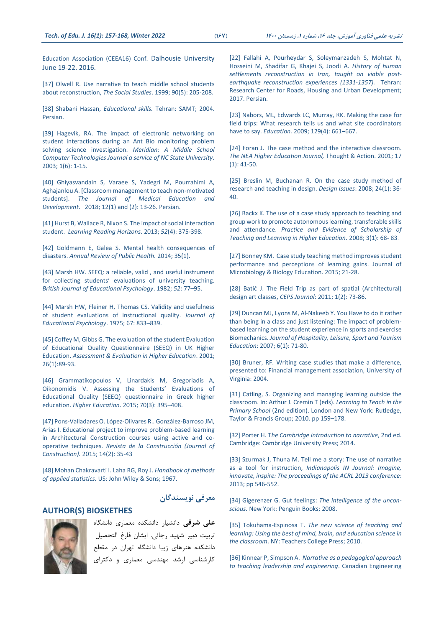[Education Association \(CEEA16\) Conf.](https://ojs.library.queensu.ca/index.php/PCEEA/article/view/6505) Dalhousie University [June 19-22. 2016.](https://ojs.library.queensu.ca/index.php/PCEEA/article/view/6505)

[37] Olwell R. Use narrative to teach middle school students [about reconstruction,](https://eric.ed.gov/?id=EJ605755) *The Social Studies*. 1999; 90(5): 205-208.

[38] Shabani Hassan, *Educational skills.* Tehran: SAMT; 2004. Persian.

[\[39\] Hagevik, RA. The impact of electronic networking on](https://meridian.ced.ncsu.edu/archive/win2003/problemsolving/)  student interactions [during an Ant Bio monitoring problem](https://meridian.ced.ncsu.edu/archive/win2003/problemsolving/)  [solving science investigation.](https://meridian.ced.ncsu.edu/archive/win2003/problemsolving/) *Meridian: A Middle School [Computer Technologies Journal a service of NC State University](https://meridian.ced.ncsu.edu/archive/win2003/problemsolving/)*. 2003; [1\(6\): 1-15.](https://meridian.ced.ncsu.edu/archive/win2003/problemsolving/)

[\[40\] Ghiyasvandain](http://jmed.ssu.ac.ir/article-1-769-fa.html) S, Varaee S, Yadegri M, Pourrahimi A, Aghajanlou A. [Classroom [management to teach non-motivated](http://jmed.ssu.ac.ir/article-1-769-fa.html)  students]. *[The Journal of Medical Education and](http://jmed.ssu.ac.ir/article-1-769-fa.html)  [Development](http://jmed.ssu.ac.ir/article-1-769-fa.html)*. 2018; 12(1) and (2): 13-26. Persian.

[41] Hurst B, Wallace R, Nixon S. [The impact of social interaction](https://scholarworks.wmich.edu/reading_horizons/vol52/iss4/5/)  student. *[Learning Reading Horizons](https://scholarworks.wmich.edu/reading_horizons/vol52/iss4/5/)*. 2013; *52*(4): 375-398.

[42] Goldmann E, Galea S. Mental health consequences of disasters. *Annual Review of Public Health.* 2014; 35(1).

[43] Marsh [HW. SEEQ: a reliable, valid , and useful instrument](http://dx.doi.org/10.1111/j.2044-8279.1982.tb02505.x)  for collecting students' eva[luations of university teaching.](http://dx.doi.org/10.1111/j.2044-8279.1982.tb02505.x) *[British Journal of Educational Psychology](http://dx.doi.org/10.1111/j.2044-8279.1982.tb02505.x)*. 1982; *52*: 77–95.

[44] Marsh HW, [Fleiner H, Thomas CS. Validity and usefulness](http://dx.doi.org/10.1037/0022-0663.67.6.833)  [of student evaluations of instructional quality.](http://dx.doi.org/10.1037/0022-0663.67.6.833) *Journal of [Educational Psychology](http://dx.doi.org/10.1037/0022-0663.67.6.833)*. 1975; 67: 833–839.

[45] Coffey M, [Gibbs G. The evaluation of the student Evaluation](https://doi.org/10.1080/02602930020022318‎)  [of Educational Quality Questionnaire \(SEEQ\) in UK Higher](https://doi.org/10.1080/02602930020022318‎)  Education. *[Assessment & Evaluation in Higher Education](https://doi.org/10.1080/02602930020022318‎)*. 2001; [26\(1\):89-93.](https://doi.org/10.1080/02602930020022318‎) 

[46] Grammatikopoulos V, Linardakis M, Gregoriadis A, Oikonomidis V. Assessing the Students' Evaluations of Educational Quality (SEEQ) questionnaire in Greek higher education. *[Higher Education](https://link.springer.com/journal/10734)*. 2015; 70(3): 395–408.

[47] Pons-Valladares O. López-Olivares [R.. González-Barroso](https://scielo.conicyt.cl/scielo.php?script=sci_abstract&pid=S0718-915X2015000200005&lng=es&nrm=iso&tlng=en) JM, Arias [I. Educational project to improve problem-based learning](https://scielo.conicyt.cl/scielo.php?script=sci_abstract&pid=S0718-915X2015000200005&lng=es&nrm=iso&tlng=en)  [in Architectural Construction courses using active and co](https://scielo.conicyt.cl/scielo.php?script=sci_abstract&pid=S0718-915X2015000200005&lng=es&nrm=iso&tlng=en)operative techniques. *[Revista de la Construcción](https://scielo.conicyt.cl/scielo.php?script=sci_abstract&pid=S0718-915X2015000200005&lng=es&nrm=iso&tlng=en) (Journal of [Construction\).](https://scielo.conicyt.cl/scielo.php?script=sci_abstract&pid=S0718-915X2015000200005&lng=es&nrm=iso&tlng=en)* 2015; 14(2): 35-43

[\[48\] Mohan Chakravarti I.](https://books.google.com/books/about/Handbook_of_methods_of_applied_statistic.html?id=O8k-AAAAIAAJ) Laha RG, Roy J. *Handbook of methods [of applied statistics.](https://books.google.com/books/about/Handbook_of_methods_of_applied_statistic.html?id=O8k-AAAAIAAJ)* US: John Wiley & Sons; 1967.

#### **AUTHOR(S) BIOSKETHES**



**علی شرقی** دانشیار دانشکده معماری دانشگاه تربیت دبیر شهید رجائی. ایشان فارغ التحصیل دانشکده هنرهای زیبا دانشگاه تهران در مقطع کارشناسی ارشد مهندسی معماری و دکترای

**معرفی نویسندگان** 

[22] Fallahi A, Pourheydar S, Soleymanzadeh S, Mohtat N, Hosseini M, Shadifar G, Khajei S, Joodi A. *History of human settlements reconstruction in Iran, taught on viable postearthquake reconstruction experiences (1331-1357).* Tehran: Research Center for Roads, Housing and Urban Development; 2017. Persian.

[23] [Nabors, ML, Edwards LC,](https://eric.ed.gov/?id=EJ871617) Murray, RK. Making the case for [field trips: What research tells us and what site coordinators](https://eric.ed.gov/?id=EJ871617)  have to say. *Education.* [2009; 129\(4\): 661](https://eric.ed.gov/?id=EJ871617)–667.

[24] Foran [J. The case method](https://eric.ed.gov/?id=EJ631155) and the interactive classroom. *[The NEA Higher Education Journal,](https://eric.ed.gov/?id=EJ631155)* Thought & Action. 2001; 17 [\(1\): 41-50.](https://eric.ed.gov/?id=EJ631155)

[25] Breslin M, Buchanan R. On the case study method of [research and teaching in](https://doi.org/10.1162/desi.2008.24.1.36) design. *Design Issues*: 2008; 24(1): 36- [40.](https://doi.org/10.1162/desi.2008.24.1.36)

[26] Backx K. The use of a case study approach to teaching and [group work to promote autonomous learning, transferable skills](http://community.dur.ac.uk/pestlhe.learning/index.php/pestlhe/article/view/131)  and attendance. *[Practice and Evidence of Scholarship of](http://community.dur.ac.uk/pestlhe.learning/index.php/pestlhe/article/view/131)  [Teaching and Learning in Higher Education.](http://community.dur.ac.uk/pestlhe.learning/index.php/pestlhe/article/view/131)* 2008; 3(1): 68- 83.

[27] Bonney KM. Case study teaching method improves student performance and perceptions of learning gains. Journal of Microbiology & Biology Education. 2015; 21-28.

[28] Batič [J. The Field Trip as part of spatial \(Architectural\)](https://eric.ed.gov/?id=EJ1130831)  design art classes, *CEPS Journal*[: 2011; 1\(2\): 73-86.](https://eric.ed.gov/?id=EJ1130831)

[29] Duncan MJ, Lyons M, Al-Nakeeb Y. [You Have to do it rather](https://www.cabdirect.org/cabdirect/abstract/20073158481)  [than being in a class and just listening: The impact of problem](https://www.cabdirect.org/cabdirect/abstract/20073158481)[based learning on the student experience in sports and exercise](https://www.cabdirect.org/cabdirect/abstract/20073158481)  Biomechanics. *[Journal of Hospitality, Leisure, Sport and Tourism](https://www.cabdirect.org/cabdirect/abstract/20073158481)  Education*[: 2007; 6\(1\):](https://www.cabdirect.org/cabdirect/abstract/20073158481) 71-80.

[\[30\] Bruner, RF. Writing case studies that make a difference,](http://faculty.darden.virginia.edu/brunerb/Bruner_PDF/Writing%20Case%20Studies%20That%20Make%20A%20Difference%20FMA%20v.%203.pdf)  [presented to: Financial management association,](http://faculty.darden.virginia.edu/brunerb/Bruner_PDF/Writing%20Case%20Studies%20That%20Make%20A%20Difference%20FMA%20v.%203.pdf) University of [Virginia: 2004.](http://faculty.darden.virginia.edu/brunerb/Bruner_PDF/Writing%20Case%20Studies%20That%20Make%20A%20Difference%20FMA%20v.%203.pdf)

[31] Catling, S. [Organizing and managing learning outside the](https://doi.org/10.4324/9780203007129)  classroom. In: Arthur [J. Cremin T \(eds\).](https://doi.org/10.4324/9780203007129) *Learning to Teach in the Primary School* [\(2nd edition\). London and New York: Rutledge,](https://doi.org/10.4324/9780203007129)  [Taylor & Francis Group; 2010. pp](https://doi.org/10.4324/9780203007129) 159–178.

[32] Porter H. T*[he Cambridge introduction to narrative](https://www.amazon.com/Cambridge-Introduction-Narrative-Introductions-Literature/dp/0521715156)*, 2nd ed. [Cambridge: Cambridge University Press; 2014.](https://www.amazon.com/Cambridge-Introduction-Narrative-Introductions-Literature/dp/0521715156)

[33] Szurmak J, Thuna [M. Tell me a story: The use of narrative](https://www.amazon.com/Imagine-Innovate-Inspire-Proceedings-Conference/dp/0838986560)  [as a tool for instruction,](https://www.amazon.com/Imagine-Innovate-Inspire-Proceedings-Conference/dp/0838986560) *Indianapolis IN Journal: Imagine, [innovate, inspire: The proceedings of the ACRL 2013 conference](https://www.amazon.com/Imagine-Innovate-Inspire-Proceedings-Conference/dp/0838986560)*: 2013; pp [546-552.](https://www.amazon.com/Imagine-Innovate-Inspire-Proceedings-Conference/dp/0838986560)

[34] Gigerenzer G. Gut feelings: *[The intelligence of the uncon](https://www.amazon.com/Gut-Feelings-Intelligence-Gerd-Gigerenzer/dp/0143113763)scious.* [New York: Penguin Books;](https://www.amazon.com/Gut-Feelings-Intelligence-Gerd-Gigerenzer/dp/0143113763) 2008.

[35] Tokuhama-Espinosa T. *[The new science of teaching and](https://www.amazon.com/New-Science-Teaching-Learning-Education/dp/0807750336)  [learning: Using the best of mind, brain, and education science in](https://www.amazon.com/New-Science-Teaching-Learning-Education/dp/0807750336)  the classroom*. [NY: Teachers College Press;](https://www.amazon.com/New-Science-Teaching-Learning-Education/dp/0807750336) 2010.

[36] Kinnear P, Simpson A. *[Narrative as a pedagogical approach](https://ojs.library.queensu.ca/index.php/PCEEA/article/view/6505)  [to teaching leadership and engineering](https://ojs.library.queensu.ca/index.php/PCEEA/article/view/6505)*. Canadian Engineering